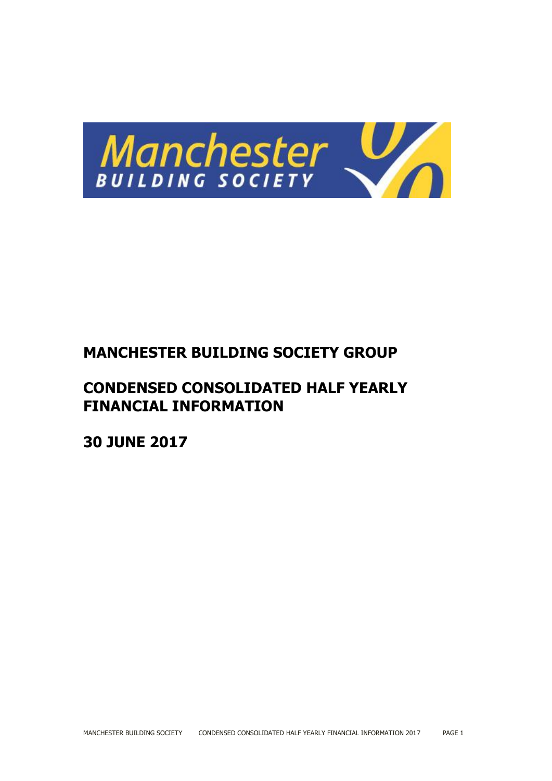

# **MANCHESTER BUILDING SOCIETY GROUP**

# **CONDENSED CONSOLIDATED HALF YEARLY FINANCIAL INFORMATION**

**30 JUNE 2017**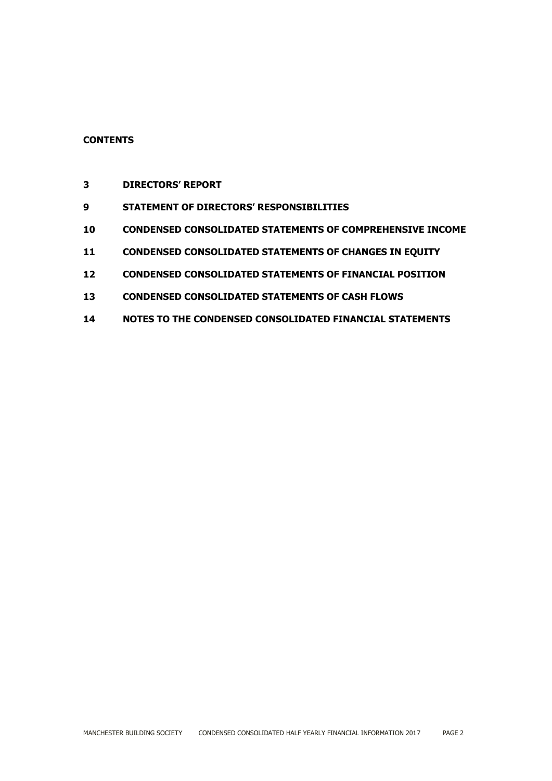# **CONTENTS**

- **DIRECTORS' REPORT**
- **STATEMENT OF DIRECTORS' RESPONSIBILITIES**
- **CONDENSED CONSOLIDATED STATEMENTS OF COMPREHENSIVE INCOME**
- **CONDENSED CONSOLIDATED STATEMENTS OF CHANGES IN EQUITY**
- **CONDENSED CONSOLIDATED STATEMENTS OF FINANCIAL POSITION**
- **CONDENSED CONSOLIDATED STATEMENTS OF CASH FLOWS**
- **NOTES TO THE CONDENSED CONSOLIDATED FINANCIAL STATEMENTS**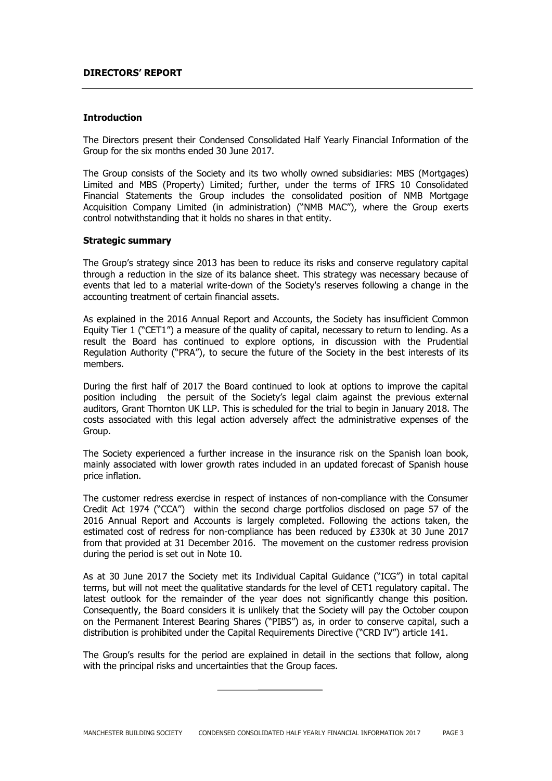#### **DIRECTORS' REPORT**

#### **Introduction**

The Directors present their Condensed Consolidated Half Yearly Financial Information of the Group for the six months ended 30 June 2017.

The Group consists of the Society and its two wholly owned subsidiaries: MBS (Mortgages) Limited and MBS (Property) Limited; further, under the terms of IFRS 10 Consolidated Financial Statements the Group includes the consolidated position of NMB Mortgage Acquisition Company Limited (in administration) ("NMB MAC"), where the Group exerts control notwithstanding that it holds no shares in that entity.

#### **Strategic summary**

The Group's strategy since 2013 has been to reduce its risks and conserve regulatory capital through a reduction in the size of its balance sheet. This strategy was necessary because of events that led to a material write-down of the Society's reserves following a change in the accounting treatment of certain financial assets.

As explained in the 2016 Annual Report and Accounts, the Society has insufficient Common Equity Tier 1 ("CET1") a measure of the quality of capital, necessary to return to lending. As a result the Board has continued to explore options, in discussion with the Prudential Regulation Authority ("PRA"), to secure the future of the Society in the best interests of its members.

During the first half of 2017 the Board continued to look at options to improve the capital position including the persuit of the Society's legal claim against the previous external auditors, Grant Thornton UK LLP. This is scheduled for the trial to begin in January 2018. The costs associated with this legal action adversely affect the administrative expenses of the Group.

The Society experienced a further increase in the insurance risk on the Spanish loan book, mainly associated with lower growth rates included in an updated forecast of Spanish house price inflation.

The customer redress exercise in respect of instances of non-compliance with the Consumer Credit Act 1974 ("CCA") within the second charge portfolios disclosed on page 57 of the 2016 Annual Report and Accounts is largely completed. Following the actions taken, the estimated cost of redress for non-compliance has been reduced by £330k at 30 June 2017 from that provided at 31 December 2016. The movement on the customer redress provision during the period is set out in Note 10.

As at 30 June 2017 the Society met its Individual Capital Guidance ("ICG") in total capital terms, but will not meet the qualitative standards for the level of CET1 regulatory capital. The latest outlook for the remainder of the year does not significantly change this position. Consequently, the Board considers it is unlikely that the Society will pay the October coupon on the Permanent Interest Bearing Shares ("PIBS") as, in order to conserve capital, such a distribution is prohibited under the Capital Requirements Directive ("CRD IV") article 141.

The Group's results for the period are explained in detail in the sections that follow, along with the principal risks and uncertainties that the Group faces.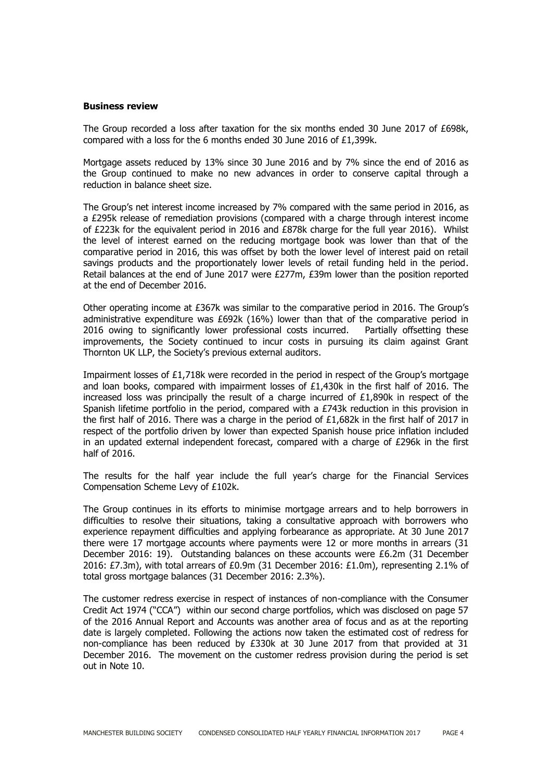#### **Business review**

The Group recorded a loss after taxation for the six months ended 30 June 2017 of £698k, compared with a loss for the 6 months ended 30 June 2016 of £1,399k.

Mortgage assets reduced by 13% since 30 June 2016 and by 7% since the end of 2016 as the Group continued to make no new advances in order to conserve capital through a reduction in balance sheet size.

The Group's net interest income increased by 7% compared with the same period in 2016, as a £295k release of remediation provisions (compared with a charge through interest income of £223k for the equivalent period in 2016 and £878k charge for the full year 2016). Whilst the level of interest earned on the reducing mortgage book was lower than that of the comparative period in 2016, this was offset by both the lower level of interest paid on retail savings products and the proportionately lower levels of retail funding held in the period. Retail balances at the end of June 2017 were £277m, £39m lower than the position reported at the end of December 2016.

Other operating income at £367k was similar to the comparative period in 2016. The Group's administrative expenditure was £692k (16%) lower than that of the comparative period in 2016 owing to significantly lower professional costs incurred. Partially offsetting these improvements, the Society continued to incur costs in pursuing its claim against Grant Thornton UK LLP, the Society's previous external auditors.

Impairment losses of £1,718k were recorded in the period in respect of the Group's mortgage and loan books, compared with impairment losses of  $£1,430k$  in the first half of 2016. The increased loss was principally the result of a charge incurred of £1,890k in respect of the Spanish lifetime portfolio in the period, compared with a £743k reduction in this provision in the first half of 2016. There was a charge in the period of  $£1,682k$  in the first half of 2017 in respect of the portfolio driven by lower than expected Spanish house price inflation included in an updated external independent forecast, compared with a charge of £296k in the first half of 2016.

The results for the half year include the full year's charge for the Financial Services Compensation Scheme Levy of £102k.

The Group continues in its efforts to minimise mortgage arrears and to help borrowers in difficulties to resolve their situations, taking a consultative approach with borrowers who experience repayment difficulties and applying forbearance as appropriate. At 30 June 2017 there were 17 mortgage accounts where payments were 12 or more months in arrears (31 December 2016: 19). Outstanding balances on these accounts were £6.2m (31 December 2016: £7.3m), with total arrears of £0.9m (31 December 2016: £1.0m), representing 2.1% of total gross mortgage balances (31 December 2016: 2.3%).

The customer redress exercise in respect of instances of non-compliance with the Consumer Credit Act 1974 ("CCA") within our second charge portfolios, which was disclosed on page 57 of the 2016 Annual Report and Accounts was another area of focus and as at the reporting date is largely completed. Following the actions now taken the estimated cost of redress for non-compliance has been reduced by £330k at 30 June 2017 from that provided at 31 December 2016. The movement on the customer redress provision during the period is set out in Note 10.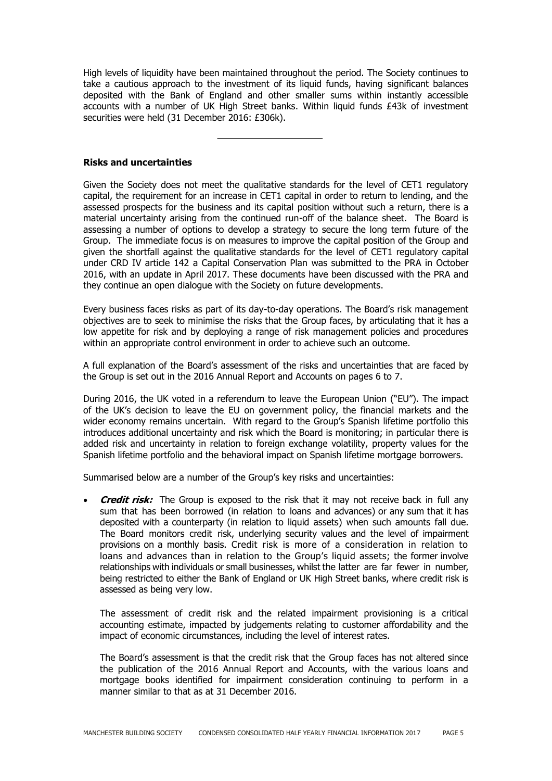High levels of liquidity have been maintained throughout the period. The Society continues to take a cautious approach to the investment of its liquid funds, having significant balances deposited with the Bank of England and other smaller sums within instantly accessible accounts with a number of UK High Street banks. Within liquid funds £43k of investment securities were held (31 December 2016: £306k).

**Risks and uncertainties**

Given the Society does not meet the qualitative standards for the level of CET1 regulatory capital, the requirement for an increase in CET1 capital in order to return to lending, and the assessed prospects for the business and its capital position without such a return, there is a material uncertainty arising from the continued run-off of the balance sheet. The Board is assessing a number of options to develop a strategy to secure the long term future of the Group. The immediate focus is on measures to improve the capital position of the Group and given the shortfall against the qualitative standards for the level of CET1 regulatory capital under CRD IV article 142 a Capital Conservation Plan was submitted to the PRA in October 2016, with an update in April 2017. These documents have been discussed with the PRA and they continue an open dialogue with the Society on future developments.

Every business faces risks as part of its day-to-day operations. The Board's risk management objectives are to seek to minimise the risks that the Group faces, by articulating that it has a low appetite for risk and by deploying a range of risk management policies and procedures within an appropriate control environment in order to achieve such an outcome.

A full explanation of the Board's assessment of the risks and uncertainties that are faced by the Group is set out in the 2016 Annual Report and Accounts on pages 6 to 7.

During 2016, the UK voted in a referendum to leave the European Union ("EU"). The impact of the UK's decision to leave the EU on government policy, the financial markets and the wider economy remains uncertain. With regard to the Group's Spanish lifetime portfolio this introduces additional uncertainty and risk which the Board is monitoring; in particular there is added risk and uncertainty in relation to foreign exchange volatility, property values for the Spanish lifetime portfolio and the behavioral impact on Spanish lifetime mortgage borrowers.

Summarised below are a number of the Group's key risks and uncertainties:

**Credit risk:** The Group is exposed to the risk that it may not receive back in full any sum that has been borrowed (in relation to loans and advances) or any sum that it has deposited with a counterparty (in relation to liquid assets) when such amounts fall due. The Board monitors credit risk, underlying security values and the level of impairment provisions on a monthly basis. Credit risk is more of a consideration in relation to loans and advances than in relation to the Group's liquid assets; the former involve relationships with individuals or small businesses, whilst the latter are far fewer in number, being restricted to either the Bank of England or UK High Street banks, where credit risk is assessed as being very low.

The assessment of credit risk and the related impairment provisioning is a critical accounting estimate, impacted by judgements relating to customer affordability and the impact of economic circumstances, including the level of interest rates.

The Board's assessment is that the credit risk that the Group faces has not altered since the publication of the 2016 Annual Report and Accounts, with the various loans and mortgage books identified for impairment consideration continuing to perform in a manner similar to that as at 31 December 2016.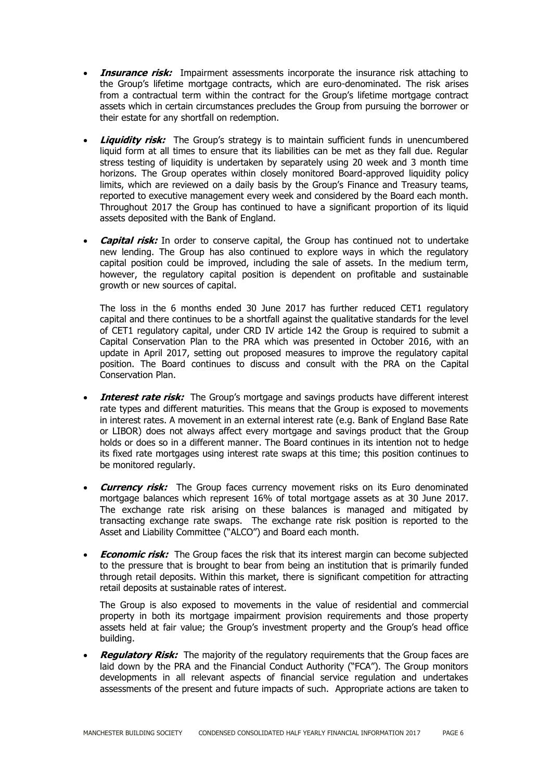- **Insurance risk:** Impairment assessments incorporate the insurance risk attaching to the Group's lifetime mortgage contracts, which are euro-denominated. The risk arises from a contractual term within the contract for the Group's lifetime mortgage contract assets which in certain circumstances precludes the Group from pursuing the borrower or their estate for any shortfall on redemption.
- **Liquidity risk:** The Group's strategy is to maintain sufficient funds in unencumbered liquid form at all times to ensure that its liabilities can be met as they fall due. Regular stress testing of liquidity is undertaken by separately using 20 week and 3 month time horizons. The Group operates within closely monitored Board-approved liquidity policy limits, which are reviewed on a daily basis by the Group's Finance and Treasury teams, reported to executive management every week and considered by the Board each month. Throughout 2017 the Group has continued to have a significant proportion of its liquid assets deposited with the Bank of England.
- **Capital risk:** In order to conserve capital, the Group has continued not to undertake new lending. The Group has also continued to explore ways in which the regulatory capital position could be improved, including the sale of assets. In the medium term, however, the regulatory capital position is dependent on profitable and sustainable growth or new sources of capital.

The loss in the 6 months ended 30 June 2017 has further reduced CET1 regulatory capital and there continues to be a shortfall against the qualitative standards for the level of CET1 regulatory capital, under CRD IV article 142 the Group is required to submit a Capital Conservation Plan to the PRA which was presented in October 2016, with an update in April 2017, setting out proposed measures to improve the regulatory capital position. The Board continues to discuss and consult with the PRA on the Capital Conservation Plan.

- **Interest rate risk:** The Group's mortgage and savings products have different interest rate types and different maturities. This means that the Group is exposed to movements in interest rates. A movement in an external interest rate (e.g. Bank of England Base Rate or LIBOR) does not always affect every mortgage and savings product that the Group holds or does so in a different manner. The Board continues in its intention not to hedge its fixed rate mortgages using interest rate swaps at this time; this position continues to be monitored regularly.
- **Currency risk:** The Group faces currency movement risks on its Euro denominated mortgage balances which represent 16% of total mortgage assets as at 30 June 2017. The exchange rate risk arising on these balances is managed and mitigated by transacting exchange rate swaps. The exchange rate risk position is reported to the Asset and Liability Committee ("ALCO") and Board each month.
- **Economic risk:** The Group faces the risk that its interest margin can become subjected to the pressure that is brought to bear from being an institution that is primarily funded through retail deposits. Within this market, there is significant competition for attracting retail deposits at sustainable rates of interest.

The Group is also exposed to movements in the value of residential and commercial property in both its mortgage impairment provision requirements and those property assets held at fair value; the Group's investment property and the Group's head office building.

 **Regulatory Risk:** The majority of the regulatory requirements that the Group faces are laid down by the PRA and the Financial Conduct Authority ("FCA"). The Group monitors developments in all relevant aspects of financial service regulation and undertakes assessments of the present and future impacts of such. Appropriate actions are taken to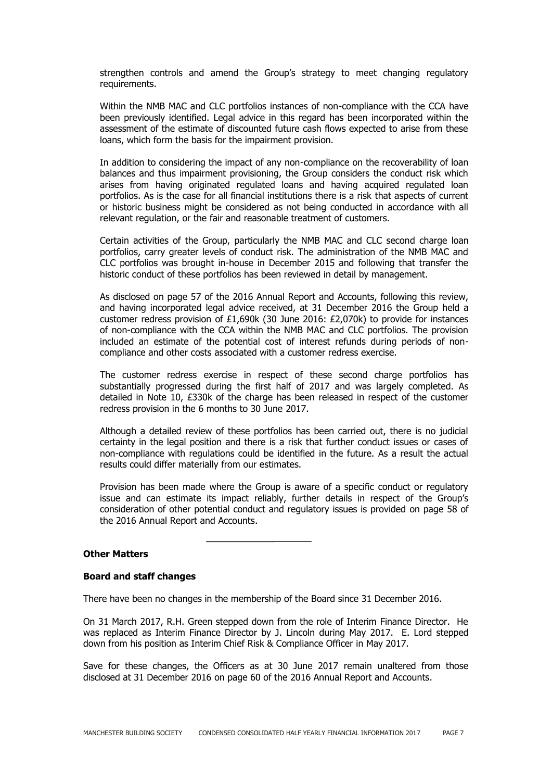strengthen controls and amend the Group's strategy to meet changing regulatory requirements.

Within the NMB MAC and CLC portfolios instances of non-compliance with the CCA have been previously identified. Legal advice in this regard has been incorporated within the assessment of the estimate of discounted future cash flows expected to arise from these loans, which form the basis for the impairment provision.

In addition to considering the impact of any non-compliance on the recoverability of loan balances and thus impairment provisioning, the Group considers the conduct risk which arises from having originated regulated loans and having acquired regulated loan portfolios. As is the case for all financial institutions there is a risk that aspects of current or historic business might be considered as not being conducted in accordance with all relevant regulation, or the fair and reasonable treatment of customers.

Certain activities of the Group, particularly the NMB MAC and CLC second charge loan portfolios, carry greater levels of conduct risk. The administration of the NMB MAC and CLC portfolios was brought in-house in December 2015 and following that transfer the historic conduct of these portfolios has been reviewed in detail by management.

As disclosed on page 57 of the 2016 Annual Report and Accounts, following this review, and having incorporated legal advice received, at 31 December 2016 the Group held a customer redress provision of £1,690k (30 June 2016: £2,070k) to provide for instances of non-compliance with the CCA within the NMB MAC and CLC portfolios. The provision included an estimate of the potential cost of interest refunds during periods of noncompliance and other costs associated with a customer redress exercise.

The customer redress exercise in respect of these second charge portfolios has substantially progressed during the first half of 2017 and was largely completed. As detailed in Note 10, £330k of the charge has been released in respect of the customer redress provision in the 6 months to 30 June 2017.

Although a detailed review of these portfolios has been carried out, there is no judicial certainty in the legal position and there is a risk that further conduct issues or cases of non-compliance with regulations could be identified in the future. As a result the actual results could differ materially from our estimates.

Provision has been made where the Group is aware of a specific conduct or regulatory issue and can estimate its impact reliably, further details in respect of the Group's consideration of other potential conduct and regulatory issues is provided on page 58 of the 2016 Annual Report and Accounts.

#### **Other Matters**

#### **Board and staff changes**

There have been no changes in the membership of the Board since 31 December 2016.

On 31 March 2017, R.H. Green stepped down from the role of Interim Finance Director. He was replaced as Interim Finance Director by J. Lincoln during May 2017. E. Lord stepped down from his position as Interim Chief Risk & Compliance Officer in May 2017.

Save for these changes, the Officers as at 30 June 2017 remain unaltered from those disclosed at 31 December 2016 on page 60 of the 2016 Annual Report and Accounts.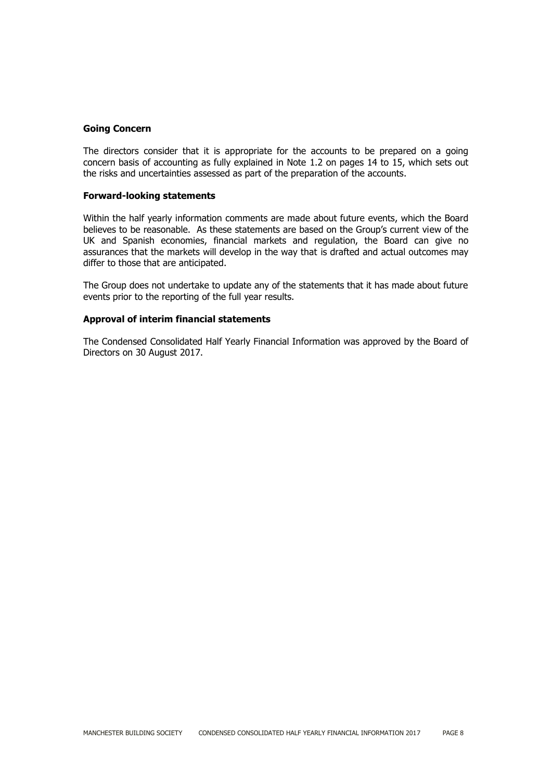#### **Going Concern**

The directors consider that it is appropriate for the accounts to be prepared on a going concern basis of accounting as fully explained in Note 1.2 on pages 14 to 15, which sets out the risks and uncertainties assessed as part of the preparation of the accounts.

#### **Forward-looking statements**

Within the half yearly information comments are made about future events, which the Board believes to be reasonable. As these statements are based on the Group's current view of the UK and Spanish economies, financial markets and regulation, the Board can give no assurances that the markets will develop in the way that is drafted and actual outcomes may differ to those that are anticipated.

The Group does not undertake to update any of the statements that it has made about future events prior to the reporting of the full year results.

#### **Approval of interim financial statements**

The Condensed Consolidated Half Yearly Financial Information was approved by the Board of Directors on 30 August 2017.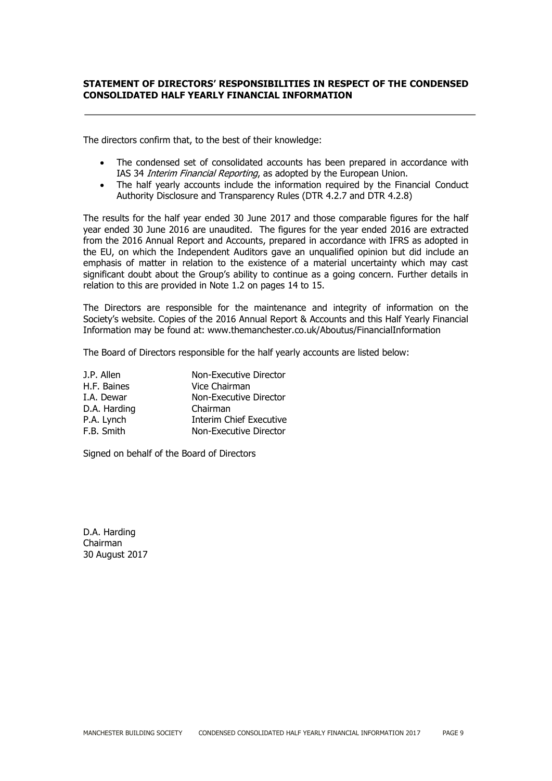#### **STATEMENT OF DIRECTORS' RESPONSIBILITIES IN RESPECT OF THE CONDENSED CONSOLIDATED HALF YEARLY FINANCIAL INFORMATION**

The directors confirm that, to the best of their knowledge:

- The condensed set of consolidated accounts has been prepared in accordance with IAS 34 *Interim Financial Reporting*, as adopted by the European Union.
- The half yearly accounts include the information required by the Financial Conduct Authority Disclosure and Transparency Rules (DTR 4.2.7 and DTR 4.2.8)

The results for the half year ended 30 June 2017 and those comparable figures for the half year ended 30 June 2016 are unaudited. The figures for the year ended 2016 are extracted from the 2016 Annual Report and Accounts, prepared in accordance with IFRS as adopted in the EU, on which the Independent Auditors gave an unqualified opinion but did include an emphasis of matter in relation to the existence of a material uncertainty which may cast significant doubt about the Group's ability to continue as a going concern. Further details in relation to this are provided in Note 1.2 on pages 14 to 15.

The Directors are responsible for the maintenance and integrity of information on the Society's website. Copies of the 2016 Annual Report & Accounts and this Half Yearly Financial Information may be found at: www.themanchester.co.uk/Aboutus/FinancialInformation

The Board of Directors responsible for the half yearly accounts are listed below:

| J.P. Allen   | Non-Executive Director         |
|--------------|--------------------------------|
| H.F. Baines  | Vice Chairman                  |
| I.A. Dewar   | Non-Executive Director         |
| D.A. Harding | Chairman                       |
| P.A. Lynch   | <b>Interim Chief Executive</b> |
| F.B. Smith   | Non-Executive Director         |

Signed on behalf of the Board of Directors

D.A. Harding Chairman 30 August 2017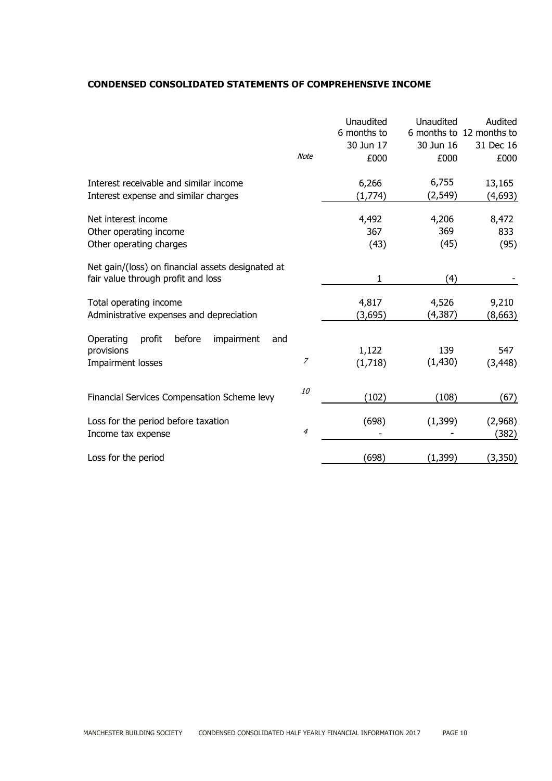#### **CONDENSED CONSOLIDATED STATEMENTS OF COMPREHENSIVE INCOME**

|                                                    |                | Unaudited<br>6 months to | Unaudited | Audited<br>6 months to 12 months to |
|----------------------------------------------------|----------------|--------------------------|-----------|-------------------------------------|
|                                                    |                | 30 Jun 17                | 30 Jun 16 | 31 Dec 16                           |
|                                                    | <b>Note</b>    | £000                     | £000      | £000                                |
| Interest receivable and similar income             |                | 6,266                    | 6,755     | 13,165                              |
| Interest expense and similar charges               |                | (1,774)                  | (2, 549)  | (4,693)                             |
| Net interest income                                |                | 4,492                    | 4,206     | 8,472                               |
| Other operating income                             |                | 367                      | 369       | 833                                 |
| Other operating charges                            |                | (43)                     | (45)      | (95)                                |
| Net gain/(loss) on financial assets designated at  |                |                          |           |                                     |
| fair value through profit and loss                 |                | $\mathbf{1}$             | (4)       |                                     |
| Total operating income                             |                | 4,817                    | 4,526     | 9,210                               |
| Administrative expenses and depreciation           |                | (3,695)                  | (4,387)   | (8,663)                             |
| before<br>Operating<br>profit<br>impairment<br>and |                |                          |           |                                     |
| provisions                                         |                | 1,122                    | 139       | 547                                 |
| Impairment losses                                  | $\overline{z}$ | (1,718)                  | (1, 430)  | (3, 448)                            |
|                                                    | <i>10</i>      |                          |           |                                     |
| Financial Services Compensation Scheme levy        |                | (102)                    | (108)     | (67)                                |
| Loss for the period before taxation                |                | (698)                    | (1, 399)  | (2,968)                             |
| Income tax expense                                 | $\overline{4}$ |                          |           | (382)                               |
| Loss for the period                                |                | (698)                    | (1, 399)  | (3, 350)                            |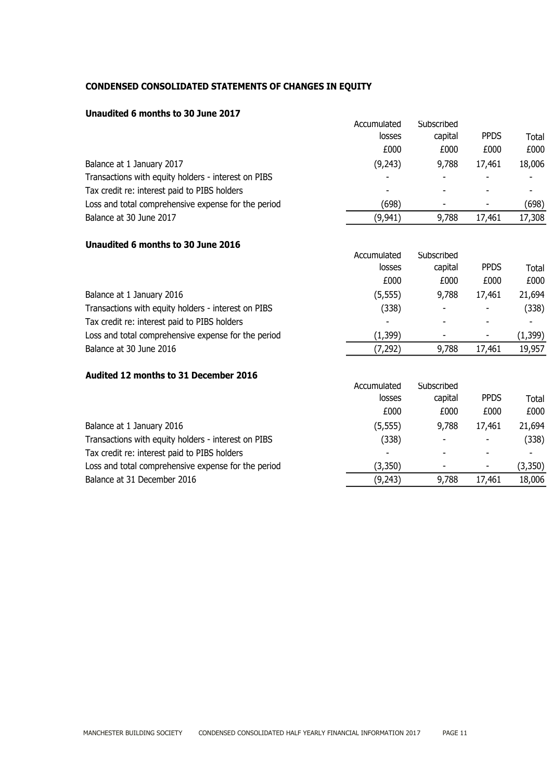# **CONDENSED CONSOLIDATED STATEMENTS OF CHANGES IN EQUITY**

# **Unaudited 6 months to 30 June 2017**

|                                                     | Accumulated | Subscribed |             |          |
|-----------------------------------------------------|-------------|------------|-------------|----------|
|                                                     | losses      | capital    | <b>PPDS</b> | Total    |
|                                                     | £000        | £000       | £000        | £000     |
| Balance at 1 January 2017                           | (9,243)     | 9,788      | 17,461      | 18,006   |
| Transactions with equity holders - interest on PIBS |             |            |             |          |
| Tax credit re: interest paid to PIBS holders        |             |            |             |          |
| Loss and total comprehensive expense for the period | (698)       |            |             | (698)    |
| Balance at 30 June 2017                             | (9, 941)    | 9,788      | 17,461      | 17,308   |
| Unaudited 6 months to 30 June 2016                  |             |            |             |          |
|                                                     | Accumulated | Subscribed |             |          |
|                                                     | losses      | capital    | <b>PPDS</b> | Total    |
|                                                     | £000        | £000       | £000        | £000     |
| Balance at 1 January 2016                           | (5, 555)    | 9,788      | 17,461      | 21,694   |
| Transactions with equity holders - interest on PIBS | (338)       |            |             | (338)    |
| Tax credit re: interest paid to PIBS holders        |             |            |             |          |
| Loss and total comprehensive expense for the period | (1, 399)    |            |             | (1, 399) |
| Balance at 30 June 2016                             | (7, 292)    | 9,788      | 17,461      | 19,957   |
| Audited 12 months to 31 December 2016               |             |            |             |          |
|                                                     | Accumulated | Subscribed |             |          |
|                                                     | losses      | capital    | <b>PPDS</b> | Total    |
|                                                     | £000        | £000       | £000        | £000     |
| Balance at 1 January 2016                           | (5, 555)    | 9,788      | 17,461      | 21,694   |
| Transactions with equity holders - interest on PIBS | (338)       |            |             | (338)    |
| Tax credit re: interest paid to PIBS holders        |             |            |             |          |
| Loss and total comprehensive expense for the period | (3, 350)    |            |             | (3, 350) |
| Balance at 31 December 2016                         | (9,243)     | 9,788      | 17,461      | 18,006   |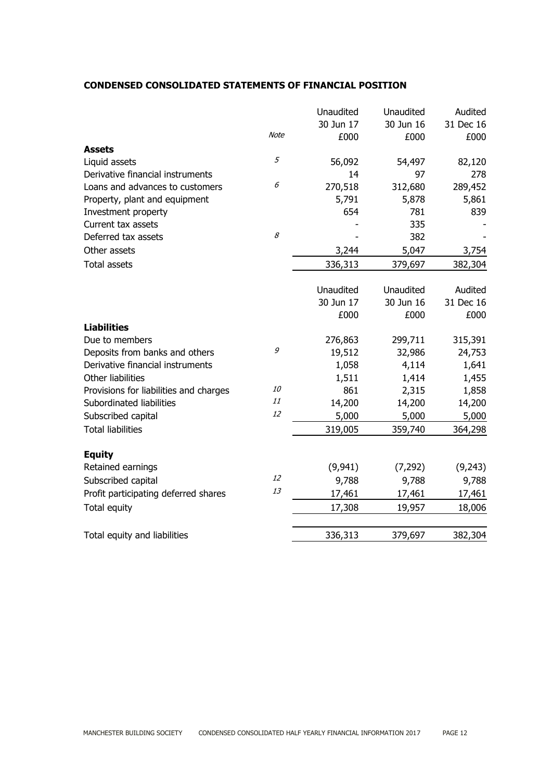### **CONDENSED CONSOLIDATED STATEMENTS OF FINANCIAL POSITION**

|                                        |           | Unaudited | Unaudited | Audited   |
|----------------------------------------|-----------|-----------|-----------|-----------|
|                                        |           | 30 Jun 17 | 30 Jun 16 | 31 Dec 16 |
|                                        | Note      | £000      | £000      | £000      |
| <b>Assets</b>                          |           |           |           |           |
| Liquid assets                          | 5         | 56,092    | 54,497    | 82,120    |
| Derivative financial instruments       |           | 14        | 97        | 278       |
| Loans and advances to customers        | 6         | 270,518   | 312,680   | 289,452   |
| Property, plant and equipment          |           | 5,791     | 5,878     | 5,861     |
| Investment property                    |           | 654       | 781       | 839       |
| Current tax assets                     |           |           | 335       |           |
| Deferred tax assets                    | 8         |           | 382       |           |
| Other assets                           |           | 3,244     | 5,047     | 3,754     |
| <b>Total assets</b>                    |           | 336,313   | 379,697   | 382,304   |
|                                        |           |           |           |           |
|                                        |           | Unaudited | Unaudited | Audited   |
|                                        |           | 30 Jun 17 | 30 Jun 16 | 31 Dec 16 |
|                                        |           | £000      | £000      | £000      |
| <b>Liabilities</b>                     |           |           |           |           |
| Due to members                         |           | 276,863   | 299,711   | 315,391   |
| Deposits from banks and others         | 9         | 19,512    | 32,986    | 24,753    |
| Derivative financial instruments       |           | 1,058     | 4,114     | 1,641     |
| Other liabilities                      |           | 1,511     | 1,414     | 1,455     |
| Provisions for liabilities and charges | <i>10</i> | 861       | 2,315     | 1,858     |
| Subordinated liabilities               | 11        | 14,200    | 14,200    | 14,200    |
| Subscribed capital                     | 12        | 5,000     | 5,000     | 5,000     |
| <b>Total liabilities</b>               |           | 319,005   | 359,740   | 364,298   |
|                                        |           |           |           |           |
| <b>Equity</b>                          |           |           |           |           |
| Retained earnings                      |           | (9,941)   | (7, 292)  | (9,243)   |
| Subscribed capital                     | 12        | 9,788     | 9,788     | 9,788     |
| Profit participating deferred shares   | 13        | 17,461    | 17,461    | 17,461    |
| Total equity                           |           | 17,308    | 19,957    | 18,006    |
| Total equity and liabilities           |           | 336,313   | 379,697   | 382,304   |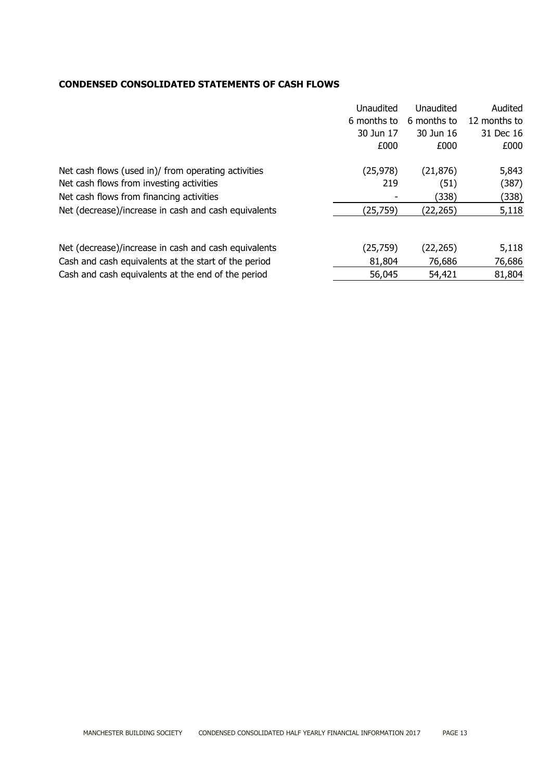### **CONDENSED CONSOLIDATED STATEMENTS OF CASH FLOWS**

|                                                      | Unaudited   | Unaudited   | Audited      |
|------------------------------------------------------|-------------|-------------|--------------|
|                                                      | 6 months to | 6 months to | 12 months to |
|                                                      | 30 Jun 17   | 30 Jun 16   | 31 Dec 16    |
|                                                      | £000        | £000        | £000         |
| Net cash flows (used in)/ from operating activities  | (25, 978)   | (21, 876)   | 5,843        |
| Net cash flows from investing activities             | 219         | (51)        | (387)        |
| Net cash flows from financing activities             |             | (338)       | (338)        |
| Net (decrease)/increase in cash and cash equivalents | (25,759)    | (22, 265)   | 5,118        |
| Net (decrease)/increase in cash and cash equivalents | (25, 759)   | (22, 265)   | 5,118        |
| Cash and cash equivalents at the start of the period | 81,804      | 76,686      | 76,686       |
| Cash and cash equivalents at the end of the period   | 56,045      | 54,421      | 81,804       |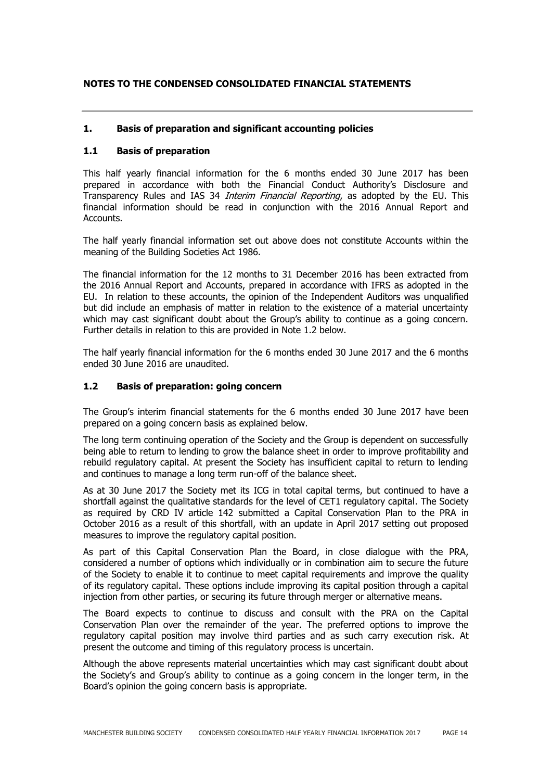### **NOTES TO THE CONDENSED CONSOLIDATED FINANCIAL STATEMENTS**

#### **1. Basis of preparation and significant accounting policies**

#### **1.1 Basis of preparation**

This half yearly financial information for the 6 months ended 30 June 2017 has been prepared in accordance with both the Financial Conduct Authority's Disclosure and Transparency Rules and IAS 34 Interim Financial Reporting, as adopted by the EU. This financial information should be read in conjunction with the 2016 Annual Report and Accounts.

The half yearly financial information set out above does not constitute Accounts within the meaning of the Building Societies Act 1986.

The financial information for the 12 months to 31 December 2016 has been extracted from the 2016 Annual Report and Accounts, prepared in accordance with IFRS as adopted in the EU. In relation to these accounts, the opinion of the Independent Auditors was unqualified but did include an emphasis of matter in relation to the existence of a material uncertainty which may cast significant doubt about the Group's ability to continue as a going concern. Further details in relation to this are provided in Note 1.2 below.

The half yearly financial information for the 6 months ended 30 June 2017 and the 6 months ended 30 June 2016 are unaudited.

#### **1.2 Basis of preparation: going concern**

The Group's interim financial statements for the 6 months ended 30 June 2017 have been prepared on a going concern basis as explained below.

The long term continuing operation of the Society and the Group is dependent on successfully being able to return to lending to grow the balance sheet in order to improve profitability and rebuild regulatory capital. At present the Society has insufficient capital to return to lending and continues to manage a long term run-off of the balance sheet.

As at 30 June 2017 the Society met its ICG in total capital terms, but continued to have a shortfall against the qualitative standards for the level of CET1 regulatory capital. The Society as required by CRD IV article 142 submitted a Capital Conservation Plan to the PRA in October 2016 as a result of this shortfall, with an update in April 2017 setting out proposed measures to improve the regulatory capital position.

As part of this Capital Conservation Plan the Board, in close dialogue with the PRA, considered a number of options which individually or in combination aim to secure the future of the Society to enable it to continue to meet capital requirements and improve the quality of its regulatory capital. These options include improving its capital position through a capital injection from other parties, or securing its future through merger or alternative means.

The Board expects to continue to discuss and consult with the PRA on the Capital Conservation Plan over the remainder of the year. The preferred options to improve the regulatory capital position may involve third parties and as such carry execution risk. At present the outcome and timing of this regulatory process is uncertain.

Although the above represents material uncertainties which may cast significant doubt about the Society's and Group's ability to continue as a going concern in the longer term, in the Board's opinion the going concern basis is appropriate.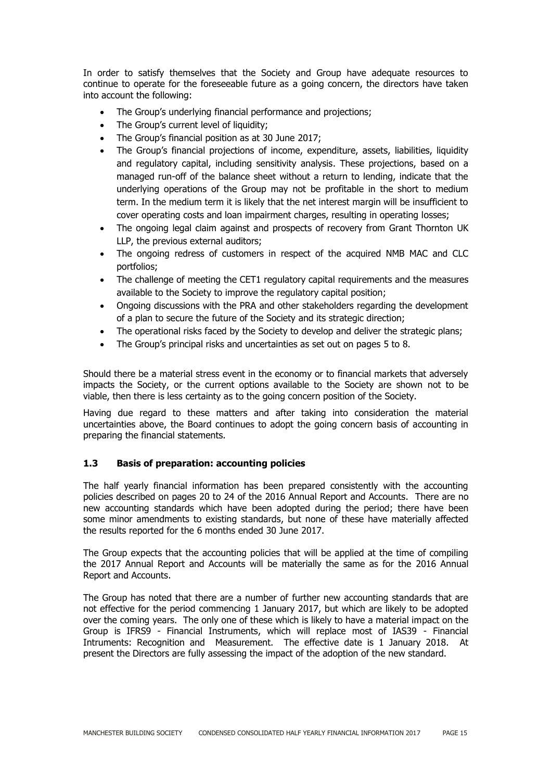In order to satisfy themselves that the Society and Group have adequate resources to continue to operate for the foreseeable future as a going concern, the directors have taken into account the following:

- The Group's underlying financial performance and projections;
- The Group's current level of liquidity;
- The Group's financial position as at 30 June 2017;
- The Group's financial projections of income, expenditure, assets, liabilities, liquidity and regulatory capital, including sensitivity analysis. These projections, based on a managed run-off of the balance sheet without a return to lending, indicate that the underlying operations of the Group may not be profitable in the short to medium term. In the medium term it is likely that the net interest margin will be insufficient to cover operating costs and loan impairment charges, resulting in operating losses;
- The ongoing legal claim against and prospects of recovery from Grant Thornton UK LLP, the previous external auditors;
- The ongoing redress of customers in respect of the acquired NMB MAC and CLC portfolios;
- The challenge of meeting the CET1 regulatory capital requirements and the measures available to the Society to improve the regulatory capital position;
- Ongoing discussions with the PRA and other stakeholders regarding the development of a plan to secure the future of the Society and its strategic direction;
- The operational risks faced by the Society to develop and deliver the strategic plans;
- The Group's principal risks and uncertainties as set out on pages 5 to 8.

Should there be a material stress event in the economy or to financial markets that adversely impacts the Society, or the current options available to the Society are shown not to be viable, then there is less certainty as to the going concern position of the Society.

Having due regard to these matters and after taking into consideration the material uncertainties above, the Board continues to adopt the going concern basis of accounting in preparing the financial statements.

#### **1.3 Basis of preparation: accounting policies**

The half yearly financial information has been prepared consistently with the accounting policies described on pages 20 to 24 of the 2016 Annual Report and Accounts. There are no new accounting standards which have been adopted during the period; there have been some minor amendments to existing standards, but none of these have materially affected the results reported for the 6 months ended 30 June 2017.

The Group expects that the accounting policies that will be applied at the time of compiling the 2017 Annual Report and Accounts will be materially the same as for the 2016 Annual Report and Accounts.

The Group has noted that there are a number of further new accounting standards that are not effective for the period commencing 1 January 2017, but which are likely to be adopted over the coming years. The only one of these which is likely to have a material impact on the Group is IFRS9 - Financial Instruments, which will replace most of IAS39 - Financial Intruments: Recognition and Measurement. The effective date is 1 January 2018. At present the Directors are fully assessing the impact of the adoption of the new standard.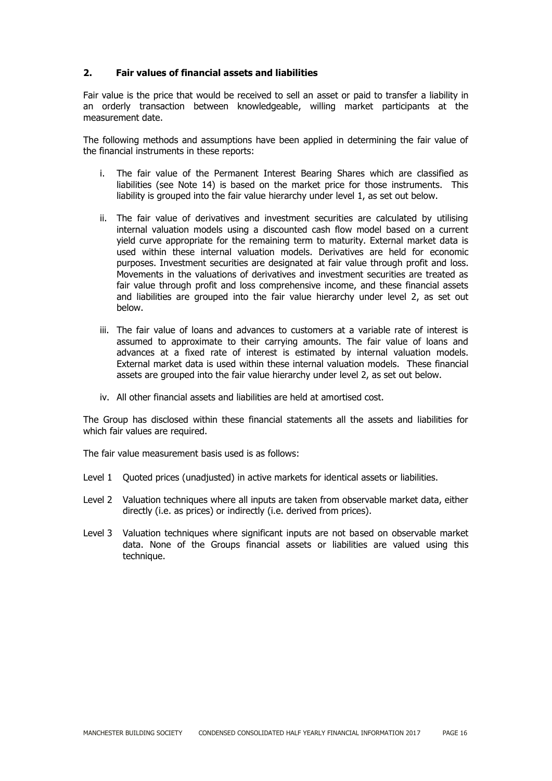#### **2. Fair values of financial assets and liabilities**

Fair value is the price that would be received to sell an asset or paid to transfer a liability in an orderly transaction between knowledgeable, willing market participants at the measurement date.

The following methods and assumptions have been applied in determining the fair value of the financial instruments in these reports:

- i. The fair value of the Permanent Interest Bearing Shares which are classified as liabilities (see Note 14) is based on the market price for those instruments. This liability is grouped into the fair value hierarchy under level 1, as set out below.
- ii. The fair value of derivatives and investment securities are calculated by utilising internal valuation models using a discounted cash flow model based on a current yield curve appropriate for the remaining term to maturity. External market data is used within these internal valuation models. Derivatives are held for economic purposes. Investment securities are designated at fair value through profit and loss. Movements in the valuations of derivatives and investment securities are treated as fair value through profit and loss comprehensive income, and these financial assets and liabilities are grouped into the fair value hierarchy under level 2, as set out below.
- iii. The fair value of loans and advances to customers at a variable rate of interest is assumed to approximate to their carrying amounts. The fair value of loans and advances at a fixed rate of interest is estimated by internal valuation models. External market data is used within these internal valuation models. These financial assets are grouped into the fair value hierarchy under level 2, as set out below.
- iv. All other financial assets and liabilities are held at amortised cost.

The Group has disclosed within these financial statements all the assets and liabilities for which fair values are required.

The fair value measurement basis used is as follows:

- Level 1 Quoted prices (unadjusted) in active markets for identical assets or liabilities.
- Level 2 Valuation techniques where all inputs are taken from observable market data, either directly (i.e. as prices) or indirectly (i.e. derived from prices).
- Level 3 Valuation techniques where significant inputs are not based on observable market data. None of the Groups financial assets or liabilities are valued using this technique.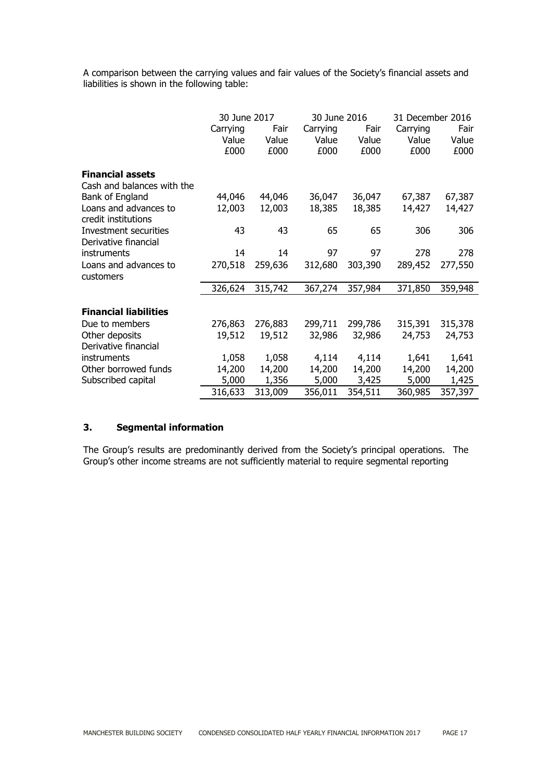A comparison between the carrying values and fair values of the Society's financial assets and liabilities is shown in the following table:

|                              | 30 June 2017 |         |          | 30 June 2016 |          | 31 December 2016 |
|------------------------------|--------------|---------|----------|--------------|----------|------------------|
|                              | Carrying     | Fair    | Carrying | Fair         | Carrying | Fair             |
|                              | Value        | Value   | Value    | Value        | Value    | Value            |
|                              | £000         | £000    | £000     | £000         | £000     | £000             |
|                              |              |         |          |              |          |                  |
| <b>Financial assets</b>      |              |         |          |              |          |                  |
| Cash and balances with the   |              |         |          |              |          |                  |
| Bank of England              | 44,046       | 44,046  | 36,047   | 36,047       | 67,387   | 67,387           |
| Loans and advances to        | 12,003       | 12,003  | 18,385   | 18,385       | 14,427   | 14,427           |
| credit institutions          |              |         |          |              |          |                  |
| Investment securities        | 43           | 43      | 65       | 65           | 306      | 306              |
| Derivative financial         |              |         |          |              |          |                  |
| instruments                  | 14           | 14      | 97       | 97           | 278      | 278              |
| Loans and advances to        | 270,518      | 259,636 | 312,680  | 303,390      | 289,452  | 277,550          |
| customers                    |              |         |          |              |          |                  |
|                              | 326,624      | 315,742 | 367,274  | 357,984      | 371,850  | 359,948          |
|                              |              |         |          |              |          |                  |
| <b>Financial liabilities</b> |              |         |          |              |          |                  |
| Due to members               | 276,863      | 276,883 | 299,711  | 299,786      | 315,391  | 315,378          |
| Other deposits               | 19,512       | 19,512  | 32,986   | 32,986       | 24,753   | 24,753           |
| Derivative financial         |              |         |          |              |          |                  |
| instruments                  | 1,058        | 1,058   | 4,114    | 4,114        | 1,641    | 1,641            |
| Other borrowed funds         | 14,200       | 14,200  | 14,200   | 14,200       | 14,200   | 14,200           |
| Subscribed capital           | 5,000        | 1,356   | 5,000    | 3,425        | 5,000    | 1,425            |
|                              | 316,633      | 313,009 | 356,011  | 354,511      | 360,985  | 357,397          |

# **3. Segmental information**

The Group's results are predominantly derived from the Society's principal operations. The Group's other income streams are not sufficiently material to require segmental reporting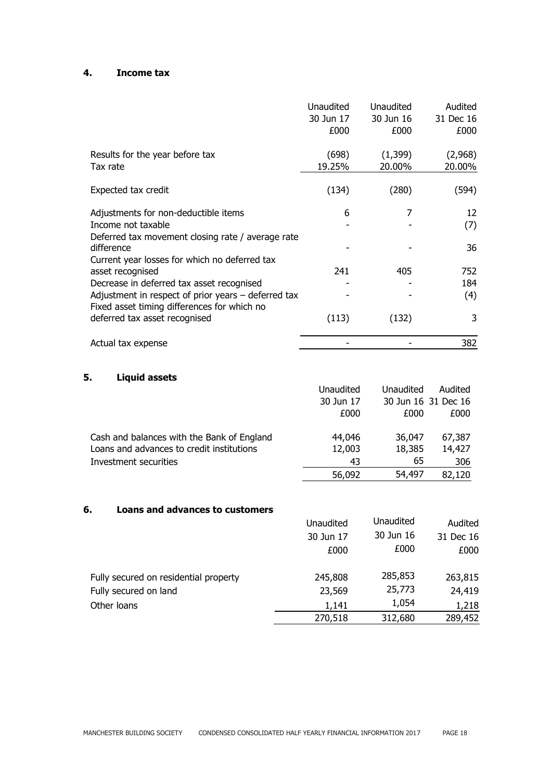# **4. Income tax**

|                                                                                                                 | Unaudited<br>30 Jun 17<br>£000 | <b>Unaudited</b><br>30 Jun 16<br>£000 | Audited<br>31 Dec 16<br>£000 |
|-----------------------------------------------------------------------------------------------------------------|--------------------------------|---------------------------------------|------------------------------|
| Results for the year before tax<br>Tax rate                                                                     | (698)<br>19.25%                | (1, 399)<br>20.00%                    | (2,968)<br>20.00%            |
| Expected tax credit                                                                                             | (134)                          | (280)                                 | (594)                        |
| Adjustments for non-deductible items<br>Income not taxable<br>Deferred tax movement closing rate / average rate | 6                              | 7                                     | 12<br>(7)                    |
| difference                                                                                                      |                                |                                       | 36                           |
| Current year losses for which no deferred tax<br>asset recognised                                               | 241                            | 405                                   | 752                          |
| Decrease in deferred tax asset recognised                                                                       |                                |                                       | 184                          |
| Adjustment in respect of prior years $-$ deferred tax                                                           |                                |                                       | (4)                          |
| Fixed asset timing differences for which no                                                                     |                                |                                       |                              |
| deferred tax asset recognised                                                                                   | (113)                          | (132)                                 | 3                            |
| Actual tax expense                                                                                              |                                |                                       | 382                          |

# **5. Liquid assets**

|                                            | Unaudited | Unaudited | Audited             |
|--------------------------------------------|-----------|-----------|---------------------|
|                                            | 30 Jun 17 |           | 30 Jun 16 31 Dec 16 |
|                                            | £000      | £000      | £000                |
| Cash and balances with the Bank of England | 44,046    | 36,047    | 67,387              |
| Loans and advances to credit institutions  | 12,003    | 18,385    | 14,427              |
| Investment securities                      | 43        | 65        | 306                 |
|                                            | 56,092    | 54,497    | 82,120              |

# **6. Loans and advances to customers**

|                                       | Unaudited<br>30 Jun 17<br>£000 | Unaudited<br>30 Jun 16<br>£000 | Audited<br>31 Dec 16<br>£000 |
|---------------------------------------|--------------------------------|--------------------------------|------------------------------|
| Fully secured on residential property | 245,808                        | 285,853                        | 263,815                      |
| Fully secured on land                 | 23,569                         | 25,773                         | 24,419                       |
| Other loans                           | 1,141                          | 1,054                          | 1,218                        |
|                                       | 270,518                        | 312,680                        | 289,452                      |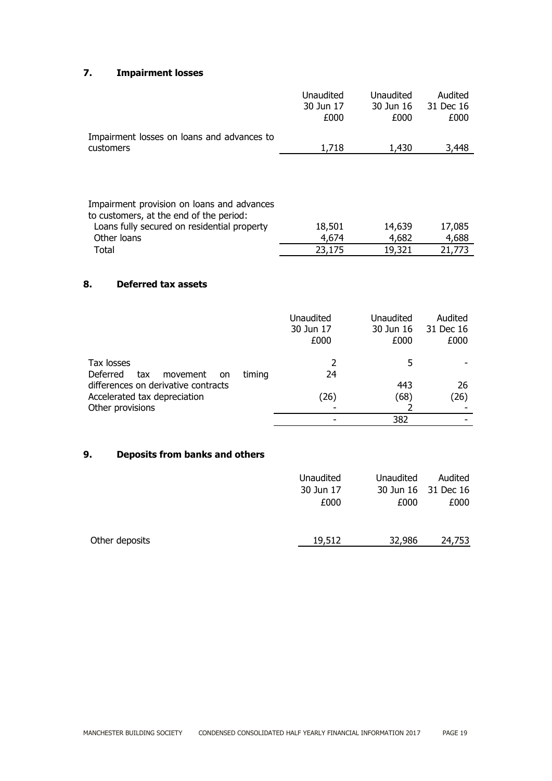# **7. Impairment losses**

|                                                                                       | Unaudited<br>30 Jun 17<br>£000 | Unaudited<br>30 Jun 16<br>£000 | Audited<br>31 Dec 16<br>£000 |
|---------------------------------------------------------------------------------------|--------------------------------|--------------------------------|------------------------------|
| Impairment losses on loans and advances to<br>customers                               | 1,718                          | 1,430                          | 3,448                        |
|                                                                                       |                                |                                |                              |
| Impairment provision on loans and advances<br>to customers, at the end of the period: |                                |                                |                              |
| Loans fully secured on residential property<br>Other loans                            | 18,501<br>4,674                | 14,639<br>4,682                | 17,085<br>4,688              |
| Total                                                                                 | 23,175                         | 19,321                         | 21,773                       |

# **8. Deferred tax assets**

|                                                 | Unaudited<br>30 Jun 17<br>£000 | Unaudited<br>30 Jun 16<br>£000 | Audited<br>31 Dec 16<br>£000 |
|-------------------------------------------------|--------------------------------|--------------------------------|------------------------------|
| Tax losses<br>Deferred<br>tax<br>movement<br>on | 24<br>timing                   | 5                              |                              |
| differences on derivative contracts             |                                | 443                            | 26                           |
| Accelerated tax depreciation                    | (26)                           | (68)                           | (26)                         |
| Other provisions                                |                                |                                |                              |
|                                                 |                                | 382                            |                              |

# **9. Deposits from banks and others**

|                | Unaudited<br>30 Jun 17 | <b>Unaudited</b> | Audited<br>30 Jun 16 31 Dec 16 |
|----------------|------------------------|------------------|--------------------------------|
|                | £000                   | £000             | £000                           |
|                |                        |                  |                                |
| Other deposits | 19,512                 | 32,986           | 24,753                         |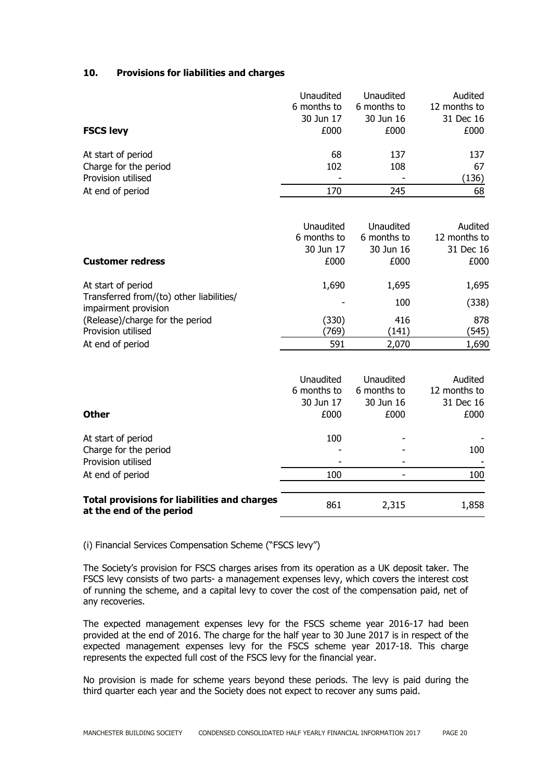#### **10. Provisions for liabilities and charges**

| <b>FSCS levy</b>                                                                       | Unaudited<br>6 months to<br>30 Jun 17<br>£000 | Unaudited<br>6 months to<br>30 Jun 16<br>£000 | Audited<br>12 months to<br>31 Dec 16<br>£000 |
|----------------------------------------------------------------------------------------|-----------------------------------------------|-----------------------------------------------|----------------------------------------------|
| At start of period<br>Charge for the period<br>Provision utilised                      | 68<br>102                                     | 137<br>108                                    | 137<br>67<br>(136)                           |
| At end of period                                                                       | 170                                           | 245                                           | 68                                           |
| <b>Customer redress</b>                                                                | Unaudited<br>6 months to<br>30 Jun 17<br>£000 | Unaudited<br>6 months to<br>30 Jun 16<br>£000 | Audited<br>12 months to<br>31 Dec 16<br>£000 |
| At start of period<br>Transferred from/(to) other liabilities/<br>impairment provision | 1,690                                         | 1,695<br>100                                  | 1,695<br>(338)                               |
| (Release)/charge for the period<br>Provision utilised                                  | (330)<br>(769)                                | 416<br>(141)                                  | 878<br>(545)                                 |
| At end of period                                                                       | 591                                           | 2,070                                         | 1,690                                        |
| <b>Other</b>                                                                           | Unaudited<br>6 months to<br>30 Jun 17<br>£000 | Unaudited<br>6 months to<br>30 Jun 16<br>£000 | Audited<br>12 months to<br>31 Dec 16<br>£000 |
| At start of period<br>Charge for the period<br>Provision utilised                      | 100                                           |                                               | 100                                          |
| At end of period                                                                       | 100                                           | ٠                                             | 100                                          |
| <b>Total provisions for liabilities and charges</b><br>at the end of the period        | 861                                           | 2,315                                         | 1,858                                        |

(i) Financial Services Compensation Scheme ("FSCS levy")

The Society's provision for FSCS charges arises from its operation as a UK deposit taker. The FSCS levy consists of two parts- a management expenses levy, which covers the interest cost of running the scheme, and a capital levy to cover the cost of the compensation paid, net of any recoveries.

The expected management expenses levy for the FSCS scheme year 2016-17 had been provided at the end of 2016. The charge for the half year to 30 June 2017 is in respect of the expected management expenses levy for the FSCS scheme year 2017-18. This charge represents the expected full cost of the FSCS levy for the financial year.

No provision is made for scheme years beyond these periods. The levy is paid during the third quarter each year and the Society does not expect to recover any sums paid.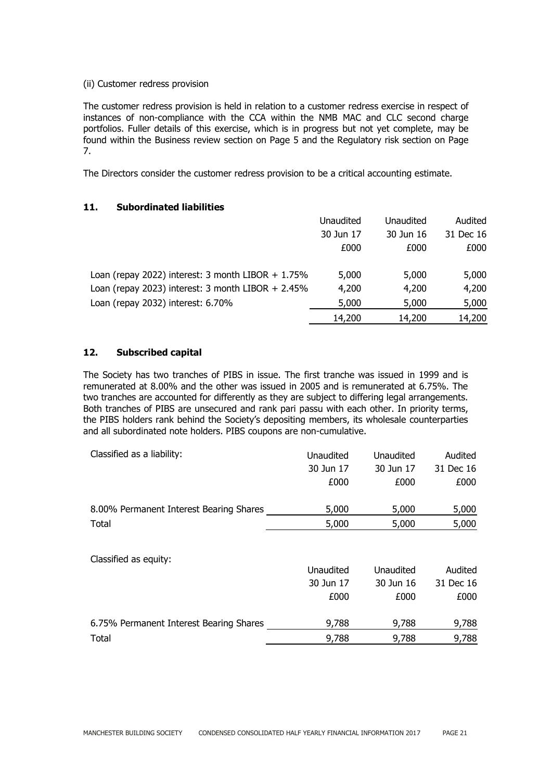#### (ii) Customer redress provision

The customer redress provision is held in relation to a customer redress exercise in respect of instances of non-compliance with the CCA within the NMB MAC and CLC second charge portfolios. Fuller details of this exercise, which is in progress but not yet complete, may be found within the Business review section on Page 5 and the Regulatory risk section on Page 7.

The Directors consider the customer redress provision to be a critical accounting estimate.

#### **11. Subordinated liabilities**

|                                                      | Unaudited | Unaudited | Audited   |
|------------------------------------------------------|-----------|-----------|-----------|
|                                                      | 30 Jun 17 | 30 Jun 16 | 31 Dec 16 |
|                                                      | £000      | £000      | £000      |
| Loan (repay 2022) interest: 3 month LIBOR $+ 1.75\%$ | 5,000     | 5,000     | 5,000     |
| Loan (repay 2023) interest: 3 month LIBOR $+ 2.45\%$ | 4,200     | 4,200     | 4,200     |
| Loan (repay 2032) interest: 6.70%                    | 5,000     | 5,000     | 5,000     |
|                                                      | 14,200    | 14,200    | 14,200    |

# **12. Subscribed capital**

The Society has two tranches of PIBS in issue. The first tranche was issued in 1999 and is remunerated at 8.00% and the other was issued in 2005 and is remunerated at 6.75%. The two tranches are accounted for differently as they are subject to differing legal arrangements. Both tranches of PIBS are unsecured and rank pari passu with each other. In priority terms, the PIBS holders rank behind the Society's depositing members, its wholesale counterparties and all subordinated note holders. PIBS coupons are non-cumulative.

| Classified as a liability:              | Unaudited | Unaudited | Audited   |
|-----------------------------------------|-----------|-----------|-----------|
|                                         | 30 Jun 17 | 30 Jun 17 | 31 Dec 16 |
|                                         | £000      | £000      | £000      |
| 8.00% Permanent Interest Bearing Shares | 5,000     | 5,000     | 5,000     |
| Total                                   | 5,000     | 5,000     | 5,000     |
| Classified as equity:                   |           |           |           |
|                                         | Unaudited | Unaudited | Audited   |
|                                         | 30 Jun 17 | 30 Jun 16 | 31 Dec 16 |
|                                         | £000      | £000      | £000      |
| 6.75% Permanent Interest Bearing Shares | 9,788     | 9,788     | 9,788     |
| Total                                   | 9,788     | 9,788     | 9,788     |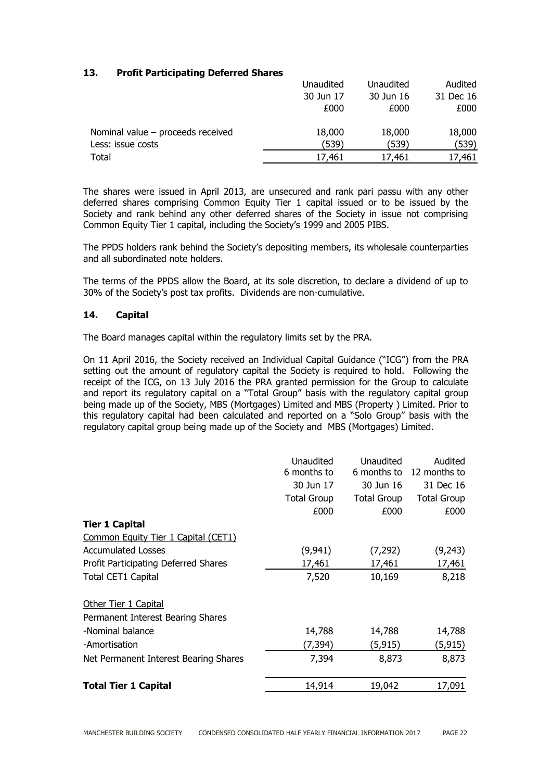# **13. Profit Participating Deferred Shares**

|                                     | Unaudited | Unaudited | Audited   |
|-------------------------------------|-----------|-----------|-----------|
|                                     | 30 Jun 17 | 30 Jun 16 | 31 Dec 16 |
|                                     | £000      | £000      | £000      |
| Nominal value $-$ proceeds received | 18,000    | 18,000    | 18,000    |
| Less: issue costs                   | (539)     | (539)     | (539)     |
| Total                               | 17,461    | 17,461    | 17,461    |

The shares were issued in April 2013, are unsecured and rank pari passu with any other deferred shares comprising Common Equity Tier 1 capital issued or to be issued by the Society and rank behind any other deferred shares of the Society in issue not comprising Common Equity Tier 1 capital, including the Society's 1999 and 2005 PIBS.

The PPDS holders rank behind the Society's depositing members, its wholesale counterparties and all subordinated note holders.

The terms of the PPDS allow the Board, at its sole discretion, to declare a dividend of up to 30% of the Society's post tax profits. Dividends are non-cumulative.

#### **14. Capital**

The Board manages capital within the regulatory limits set by the PRA.

On 11 April 2016, the Society received an Individual Capital Guidance ("ICG") from the PRA setting out the amount of regulatory capital the Society is required to hold. Following the receipt of the ICG, on 13 July 2016 the PRA granted permission for the Group to calculate and report its regulatory capital on a "Total Group" basis with the regulatory capital group being made up of the Society, MBS (Mortgages) Limited and MBS (Property ) Limited. Prior to this regulatory capital had been calculated and reported on a "Solo Group" basis with the regulatory capital group being made up of the Society and MBS (Mortgages) Limited.

|                                       | Unaudited<br>6 months to<br>30 Jun 17<br><b>Total Group</b> | Unaudited<br>6 months to<br>30 Jun 16<br><b>Total Group</b> | Audited<br>12 months to<br>31 Dec 16<br><b>Total Group</b> |
|---------------------------------------|-------------------------------------------------------------|-------------------------------------------------------------|------------------------------------------------------------|
|                                       | £000                                                        | £000                                                        | £000                                                       |
| <b>Tier 1 Capital</b>                 |                                                             |                                                             |                                                            |
| Common Equity Tier 1 Capital (CET1)   |                                                             |                                                             |                                                            |
| <b>Accumulated Losses</b>             | (9,941)                                                     | (7, 292)                                                    | (9,243)                                                    |
| Profit Participating Deferred Shares  | 17,461                                                      | 17,461                                                      | 17,461                                                     |
| Total CET1 Capital                    | 7,520                                                       | 10,169                                                      | 8,218                                                      |
| Other Tier 1 Capital                  |                                                             |                                                             |                                                            |
| Permanent Interest Bearing Shares     |                                                             |                                                             |                                                            |
| -Nominal balance                      | 14,788                                                      | 14,788                                                      | 14,788                                                     |
| -Amortisation                         | (7,394)                                                     | (5, 915)                                                    | (5, 915)                                                   |
| Net Permanent Interest Bearing Shares | 7,394                                                       | 8,873                                                       | 8,873                                                      |
| <b>Total Tier 1 Capital</b>           | 14,914                                                      | 19,042                                                      | 17,091                                                     |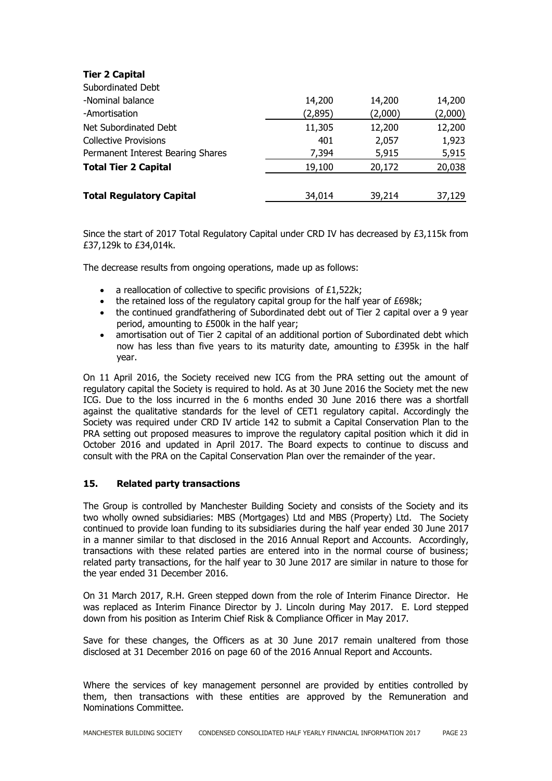# **Tier 2 Capital**

| <b>Total Regulatory Capital</b>   | 34,014  | 39,214  | 37,129  |
|-----------------------------------|---------|---------|---------|
| <b>Total Tier 2 Capital</b>       | 19,100  | 20,172  | 20,038  |
| Permanent Interest Bearing Shares | 7,394   | 5,915   | 5,915   |
| <b>Collective Provisions</b>      | 401     | 2,057   | 1,923   |
| Net Subordinated Debt             | 11,305  | 12,200  | 12,200  |
| -Amortisation                     | (2,895) | (2,000) | (2,000) |
| -Nominal balance                  | 14,200  | 14,200  | 14,200  |
| Subordinated Debt                 |         |         |         |

Since the start of 2017 Total Regulatory Capital under CRD IV has decreased by £3,115k from £37,129k to £34,014k.

The decrease results from ongoing operations, made up as follows:

- a reallocation of collective to specific provisions of £1,522k;
- the retained loss of the regulatory capital group for the half year of £698k;
- the continued grandfathering of Subordinated debt out of Tier 2 capital over a 9 year period, amounting to £500k in the half year;
- amortisation out of Tier 2 capital of an additional portion of Subordinated debt which now has less than five years to its maturity date, amounting to £395k in the half year.

On 11 April 2016, the Society received new ICG from the PRA setting out the amount of regulatory capital the Society is required to hold. As at 30 June 2016 the Society met the new ICG. Due to the loss incurred in the 6 months ended 30 June 2016 there was a shortfall against the qualitative standards for the level of CET1 regulatory capital. Accordingly the Society was required under CRD IV article 142 to submit a Capital Conservation Plan to the PRA setting out proposed measures to improve the regulatory capital position which it did in October 2016 and updated in April 2017. The Board expects to continue to discuss and consult with the PRA on the Capital Conservation Plan over the remainder of the year.

# **15. Related party transactions**

The Group is controlled by Manchester Building Society and consists of the Society and its two wholly owned subsidiaries: MBS (Mortgages) Ltd and MBS (Property) Ltd. The Society continued to provide loan funding to its subsidiaries during the half year ended 30 June 2017 in a manner similar to that disclosed in the 2016 Annual Report and Accounts. Accordingly, transactions with these related parties are entered into in the normal course of business; related party transactions, for the half year to 30 June 2017 are similar in nature to those for the year ended 31 December 2016.

On 31 March 2017, R.H. Green stepped down from the role of Interim Finance Director. He was replaced as Interim Finance Director by J. Lincoln during May 2017. E. Lord stepped down from his position as Interim Chief Risk & Compliance Officer in May 2017.

Save for these changes, the Officers as at 30 June 2017 remain unaltered from those disclosed at 31 December 2016 on page 60 of the 2016 Annual Report and Accounts.

Where the services of key management personnel are provided by entities controlled by them, then transactions with these entities are approved by the Remuneration and Nominations Committee.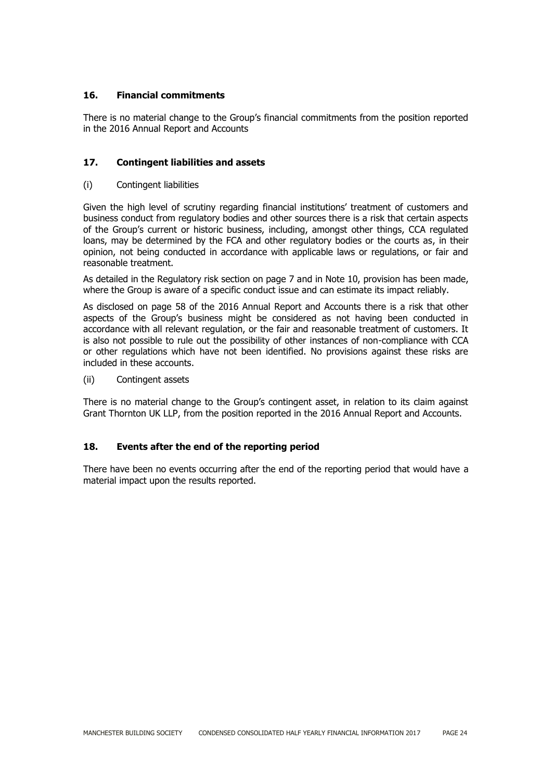## **16. Financial commitments**

There is no material change to the Group's financial commitments from the position reported in the 2016 Annual Report and Accounts

### **17. Contingent liabilities and assets**

#### (i) Contingent liabilities

Given the high level of scrutiny regarding financial institutions' treatment of customers and business conduct from regulatory bodies and other sources there is a risk that certain aspects of the Group's current or historic business, including, amongst other things, CCA regulated loans, may be determined by the FCA and other regulatory bodies or the courts as, in their opinion, not being conducted in accordance with applicable laws or regulations, or fair and reasonable treatment.

As detailed in the Regulatory risk section on page 7 and in Note 10, provision has been made, where the Group is aware of a specific conduct issue and can estimate its impact reliably.

As disclosed on page 58 of the 2016 Annual Report and Accounts there is a risk that other aspects of the Group's business might be considered as not having been conducted in accordance with all relevant regulation, or the fair and reasonable treatment of customers. It is also not possible to rule out the possibility of other instances of non-compliance with CCA or other regulations which have not been identified. No provisions against these risks are included in these accounts.

(ii) Contingent assets

There is no material change to the Group's contingent asset, in relation to its claim against Grant Thornton UK LLP, from the position reported in the 2016 Annual Report and Accounts.

#### **18. Events after the end of the reporting period**

There have been no events occurring after the end of the reporting period that would have a material impact upon the results reported.